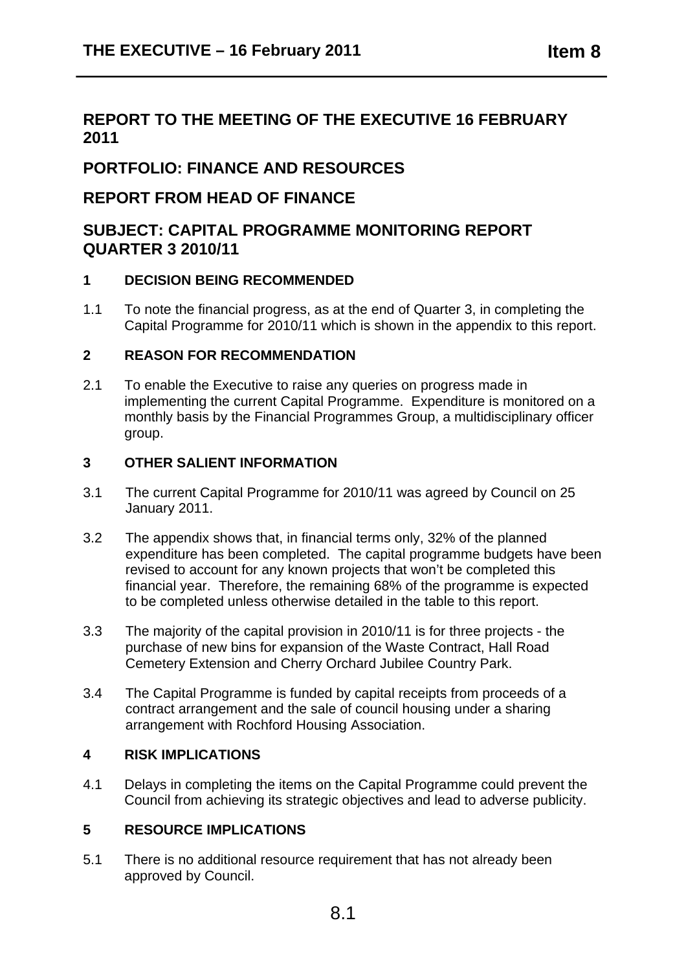## **REPORT TO THE MEETING OF THE EXECUTIVE 16 FEBRUARY 2011**

## **PORTFOLIO: FINANCE AND RESOURCES**

### **REPORT FROM HEAD OF FINANCE**

### **SUBJECT: CAPITAL PROGRAMME MONITORING REPORT QUARTER 3 2010/11**

### **1 DECISION BEING RECOMMENDED**

1.1 To note the financial progress, as at the end of Quarter 3, in completing the Capital Programme for 2010/11 which is shown in the appendix to this report.

#### **2 REASON FOR RECOMMENDATION**

2.1 To enable the Executive to raise any queries on progress made in implementing the current Capital Programme. Expenditure is monitored on a monthly basis by the Financial Programmes Group, a multidisciplinary officer group.

#### **3 OTHER SALIENT INFORMATION**

- 3.1 The current Capital Programme for 2010/11 was agreed by Council on 25 January 2011.
- 3.2 The appendix shows that, in financial terms only, 32% of the planned expenditure has been completed. The capital programme budgets have been revised to account for any known projects that won't be completed this financial year. Therefore, the remaining 68% of the programme is expected to be completed unless otherwise detailed in the table to this report.
- 3.3 The majority of the capital provision in 2010/11 is for three projects the purchase of new bins for expansion of the Waste Contract, Hall Road Cemetery Extension and Cherry Orchard Jubilee Country Park.
- 3.4 The Capital Programme is funded by capital receipts from proceeds of a contract arrangement and the sale of council housing under a sharing arrangement with Rochford Housing Association.

#### **4 RISK IMPLICATIONS**

4.1 Delays in completing the items on the Capital Programme could prevent the Council from achieving its strategic objectives and lead to adverse publicity.

#### **5 RESOURCE IMPLICATIONS**

5.1 There is no additional resource requirement that has not already been approved by Council.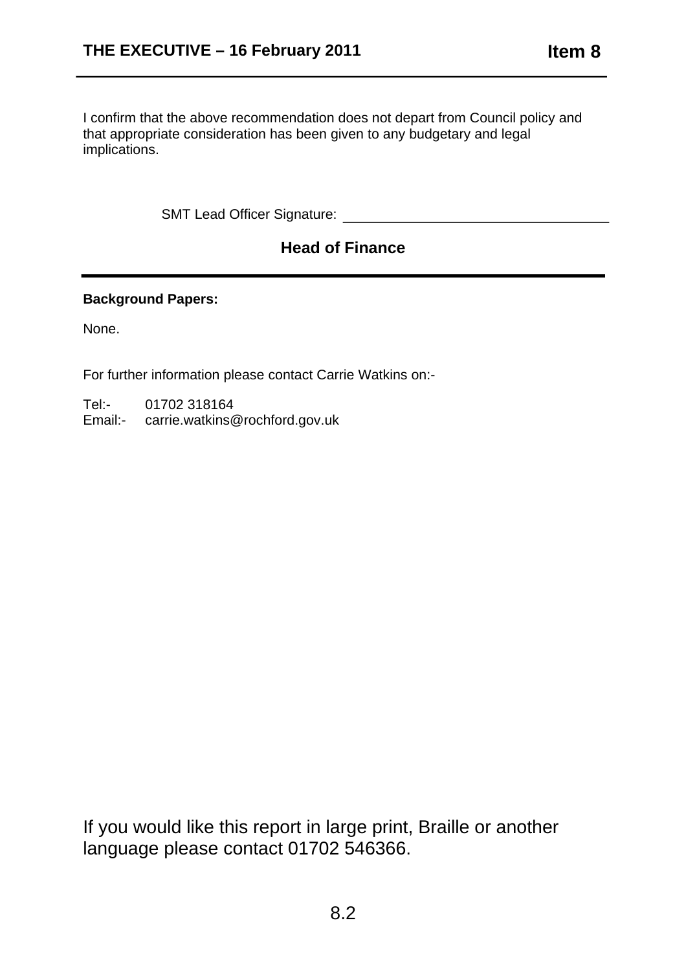I confirm that the above recommendation does not depart from Council policy and that appropriate consideration has been given to any budgetary and legal implications.

SMT Lead Officer Signature: We have a state of the state of the state of the state of the state of the state of the state of the state of the state of the state of the state of the state of the state of the state of the st

# **Head of Finance**

#### **Background Papers:**

None.

For further information please contact Carrie Watkins on:-

Tel:- 01702 318164

Email:- carrie.watkins@rochford.gov.uk

If you would like this report in large print, Braille or another language please contact 01702 546366.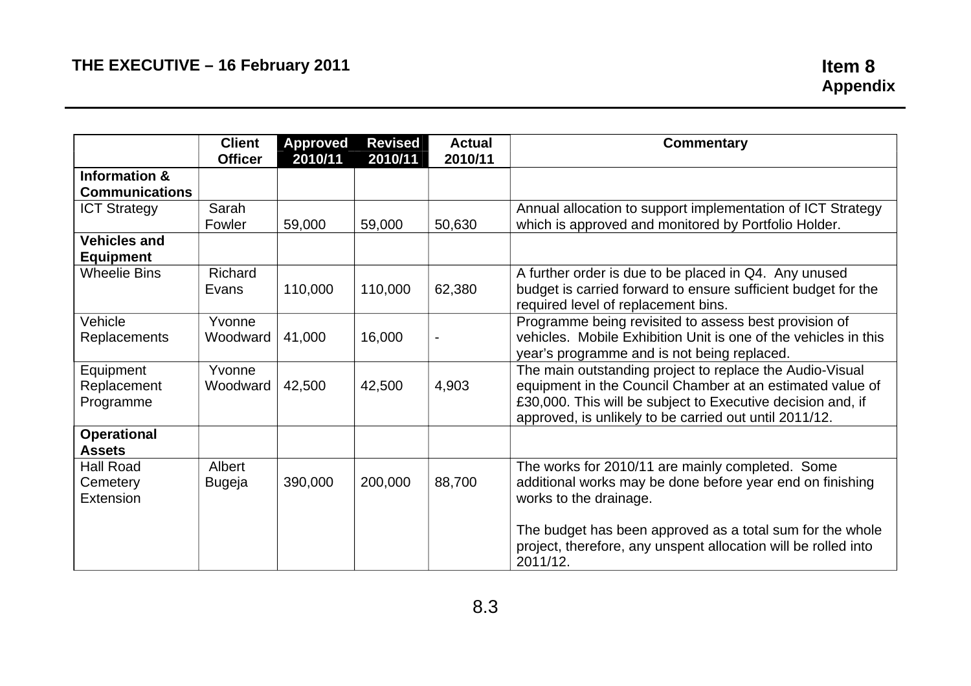|                                           | <b>Client</b>           | <b>Approved</b> | <b>Revised</b> | <b>Actual</b> | <b>Commentary</b>                                                                                                                                                                                                                              |
|-------------------------------------------|-------------------------|-----------------|----------------|---------------|------------------------------------------------------------------------------------------------------------------------------------------------------------------------------------------------------------------------------------------------|
|                                           | <b>Officer</b>          | 2010/11         | 2010/11        | 2010/11       |                                                                                                                                                                                                                                                |
| <b>Information &amp;</b>                  |                         |                 |                |               |                                                                                                                                                                                                                                                |
| <b>Communications</b>                     |                         |                 |                |               |                                                                                                                                                                                                                                                |
| <b>ICT Strategy</b>                       | Sarah<br>Fowler         | 59,000          | 59,000         | 50,630        | Annual allocation to support implementation of ICT Strategy<br>which is approved and monitored by Portfolio Holder.                                                                                                                            |
| <b>Vehicles and</b><br><b>Equipment</b>   |                         |                 |                |               |                                                                                                                                                                                                                                                |
| <b>Wheelie Bins</b>                       | Richard<br>Evans        | 110,000         | 110,000        | 62,380        | A further order is due to be placed in Q4. Any unused<br>budget is carried forward to ensure sufficient budget for the<br>required level of replacement bins.                                                                                  |
| Vehicle<br><b>Replacements</b>            | Yvonne<br>Woodward      | 41,000          | 16,000         |               | Programme being revisited to assess best provision of<br>vehicles. Mobile Exhibition Unit is one of the vehicles in this<br>year's programme and is not being replaced.                                                                        |
| Equipment<br>Replacement<br>Programme     | Yvonne<br>Woodward      | 42,500          | 42,500         | 4,903         | The main outstanding project to replace the Audio-Visual<br>equipment in the Council Chamber at an estimated value of<br>£30,000. This will be subject to Executive decision and, if<br>approved, is unlikely to be carried out until 2011/12. |
| <b>Operational</b><br><b>Assets</b>       |                         |                 |                |               |                                                                                                                                                                                                                                                |
| <b>Hall Road</b><br>Cemetery<br>Extension | Albert<br><b>Bugeja</b> | 390,000         | 200,000        | 88,700        | The works for 2010/11 are mainly completed. Some<br>additional works may be done before year end on finishing<br>works to the drainage.                                                                                                        |
|                                           |                         |                 |                |               | The budget has been approved as a total sum for the whole<br>project, therefore, any unspent allocation will be rolled into<br>2011/12.                                                                                                        |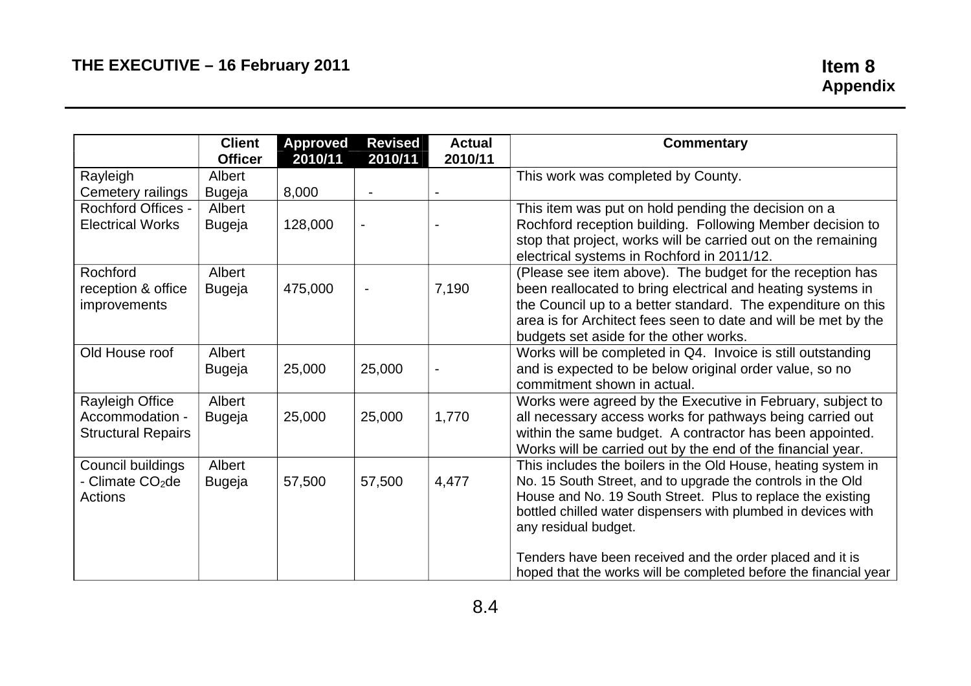|                                                                 | <b>Client</b><br><b>Officer</b> | Approved<br>2010/11 | <b>Revised</b><br>2010/11 | <b>Actual</b><br>2010/11 | <b>Commentary</b>                                                                                                                                                                                                                                                                                                                                 |
|-----------------------------------------------------------------|---------------------------------|---------------------|---------------------------|--------------------------|---------------------------------------------------------------------------------------------------------------------------------------------------------------------------------------------------------------------------------------------------------------------------------------------------------------------------------------------------|
| Rayleigh<br>Cemetery railings                                   | Albert<br><b>Bugeja</b>         | 8,000               |                           |                          | This work was completed by County.                                                                                                                                                                                                                                                                                                                |
| <b>Rochford Offices -</b><br><b>Electrical Works</b>            | Albert<br><b>Bugeja</b>         | 128,000             |                           |                          | This item was put on hold pending the decision on a<br>Rochford reception building. Following Member decision to<br>stop that project, works will be carried out on the remaining<br>electrical systems in Rochford in 2011/12.                                                                                                                   |
| Rochford<br>reception & office<br>improvements                  | Albert<br><b>Bugeja</b>         | 475,000             |                           | 7,190                    | (Please see item above). The budget for the reception has<br>been reallocated to bring electrical and heating systems in<br>the Council up to a better standard. The expenditure on this<br>area is for Architect fees seen to date and will be met by the<br>budgets set aside for the other works.                                              |
| Old House roof                                                  | Albert<br><b>Bugeja</b>         | 25,000              | 25,000                    |                          | Works will be completed in Q4. Invoice is still outstanding<br>and is expected to be below original order value, so no<br>commitment shown in actual.                                                                                                                                                                                             |
| Rayleigh Office<br>Accommodation -<br><b>Structural Repairs</b> | Albert<br><b>Bugeja</b>         | 25,000              | 25,000                    | 1,770                    | Works were agreed by the Executive in February, subject to<br>all necessary access works for pathways being carried out<br>within the same budget. A contractor has been appointed.<br>Works will be carried out by the end of the financial year.                                                                                                |
| Council buildings<br>- Climate CO <sub>2</sub> de<br>Actions    | Albert<br><b>Bugeja</b>         | 57,500              | 57,500                    | 4,477                    | This includes the boilers in the Old House, heating system in<br>No. 15 South Street, and to upgrade the controls in the Old<br>House and No. 19 South Street. Plus to replace the existing<br>bottled chilled water dispensers with plumbed in devices with<br>any residual budget.<br>Tenders have been received and the order placed and it is |
|                                                                 |                                 |                     |                           |                          | hoped that the works will be completed before the financial year                                                                                                                                                                                                                                                                                  |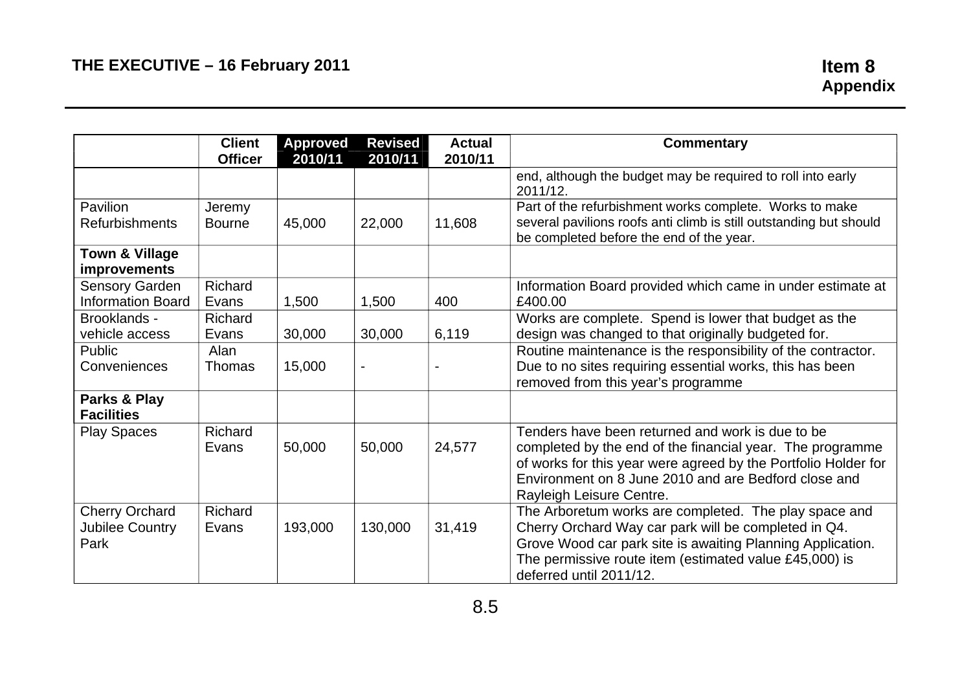|                                                         | <b>Client</b><br><b>Officer</b> | <b>Approved</b><br>2010/11 | <b>Revised</b><br>2010/11 | <b>Actual</b><br>2010/11 | Commentary                                                                                                                                                                                                                                                          |
|---------------------------------------------------------|---------------------------------|----------------------------|---------------------------|--------------------------|---------------------------------------------------------------------------------------------------------------------------------------------------------------------------------------------------------------------------------------------------------------------|
|                                                         |                                 |                            |                           |                          | end, although the budget may be required to roll into early<br>2011/12.                                                                                                                                                                                             |
| Pavilion<br><b>Refurbishments</b>                       | Jeremy<br><b>Bourne</b>         | 45,000                     | 22,000                    | 11,608                   | Part of the refurbishment works complete. Works to make<br>several pavilions roofs anti climb is still outstanding but should<br>be completed before the end of the year.                                                                                           |
| <b>Town &amp; Village</b><br>improvements               |                                 |                            |                           |                          |                                                                                                                                                                                                                                                                     |
| Sensory Garden<br><b>Information Board</b>              | Richard<br>Evans                | 1,500                      | 1,500                     | 400                      | Information Board provided which came in under estimate at<br>£400.00                                                                                                                                                                                               |
| Brooklands -<br>vehicle access                          | Richard<br>Evans                | 30,000                     | 30,000                    | 6,119                    | Works are complete. Spend is lower that budget as the<br>design was changed to that originally budgeted for.                                                                                                                                                        |
| Public<br>Conveniences                                  | Alan<br><b>Thomas</b>           | 15,000                     | $\blacksquare$            |                          | Routine maintenance is the responsibility of the contractor.<br>Due to no sites requiring essential works, this has been<br>removed from this year's programme                                                                                                      |
| Parks & Play<br><b>Facilities</b>                       |                                 |                            |                           |                          |                                                                                                                                                                                                                                                                     |
| <b>Play Spaces</b>                                      | Richard<br>Evans                | 50,000                     | 50,000                    | 24,577                   | Tenders have been returned and work is due to be<br>completed by the end of the financial year. The programme<br>of works for this year were agreed by the Portfolio Holder for<br>Environment on 8 June 2010 and are Bedford close and<br>Rayleigh Leisure Centre. |
| <b>Cherry Orchard</b><br><b>Jubilee Country</b><br>Park | Richard<br>Evans                | 193,000                    | 130,000                   | 31,419                   | The Arboretum works are completed. The play space and<br>Cherry Orchard Way car park will be completed in Q4.<br>Grove Wood car park site is awaiting Planning Application.<br>The permissive route item (estimated value £45,000) is<br>deferred until 2011/12.    |